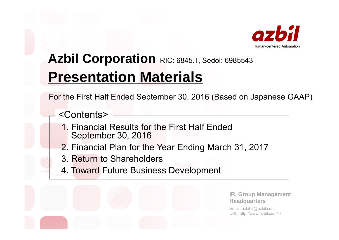

# Azbil Corporation RIC: 6845.T, Sedol: 6985543 **Presentation Materials**

For the First Half Ended September 30, 2016 (Based on Japanese GAAP)

<Contents>

- 1. Financial Results for the First Half Ended September 30, 2016
- 2. Financial Plan for the Year Ending March 31, 2017
- 3. Return to Shareholders
- 4. Toward Future Business Development

**IR, Group Management Headquarters** 

Email: azbil-ir@azbil.com URL: http://www.azbil.com/ir/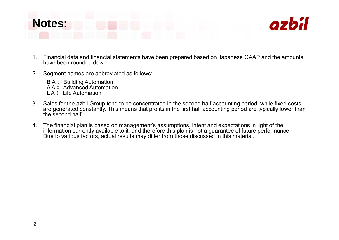

- 1. Financial data and financial statements have been prepared based on Japanese GAAP and the amounts have been rounded down.
- 2. Segment names are abbreviated as follows:
	- B A : Building Automation
	- A A : Advanced Automation
	- L A : Life Automation
- 3. Sales for the azbil Group tend to be concentrated in the second half accounting period, while fixed costs are generated constantly. This means that profits in the first half accounting period are typically lower than the second half.
- 4. The financial plan is based on management's assumptions, intent and expectations in light of the information currently available to it, and therefore this plan is not a quarantee of future performance. Due to various factors, actual results may differ from those discussed in this material.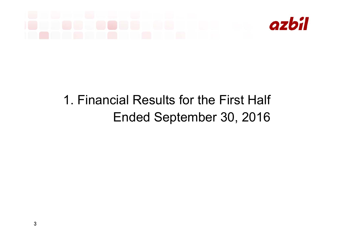# azbil

# 1. Financial Results for the First Half Ended September 30, 2016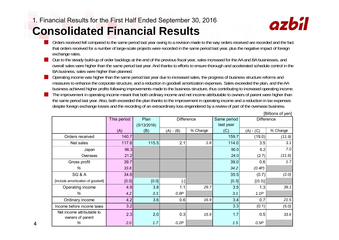## 1. Financial Results for the First Half Ended September 30, 2016 **Consolidated Financial Results**



- Orders received fell compared to the same period last year owing to a revision made to the way orders received are recorded and the fact that orders received for a number of large-scale projects were recorded in the same period last year, plus the negative impact of foreign exchange rates.
- Due to the steady build-up of order backlogs at the end of the previous fiscal year, sales increased for the AA and BA businesses, and overall sales were higher than the same period last year. And thanks to efforts to ensure thorough and accelerated schedule control in the BA business, sales were higher than planned.

■ Operating income was higher than the same period last year due to increased sales, the progress of business structure reforms and measures to enhance the corporate structure, and a reduction in goodwill amortization expenses. Sales exceeded the plan, and the AA business achieved higher profits following improvements made to the business structure, thus contributing to increased operating income.

■ The improvement in operating income meant that both ordinary income and net income attributable to owners of parent were higher than the same period last year. Also, both exceeded the plan thanks to the improvement in operating income and a reduction in tax expenses despite foreign exchange losses and the recording of an extraordinary loss engendered by a review of part of the overseas business.

|                                                |             |             |                                                                                                                                                                                                                                                                                                                                                                                                                                                             |          |             |                   | [Billions of yen] |
|------------------------------------------------|-------------|-------------|-------------------------------------------------------------------------------------------------------------------------------------------------------------------------------------------------------------------------------------------------------------------------------------------------------------------------------------------------------------------------------------------------------------------------------------------------------------|----------|-------------|-------------------|-------------------|
|                                                | This period | Plan        | <b>Difference</b>                                                                                                                                                                                                                                                                                                                                                                                                                                           |          | Same period | <b>Difference</b> |                   |
|                                                |             | (5/13/2016) |                                                                                                                                                                                                                                                                                                                                                                                                                                                             |          | last year   |                   |                   |
|                                                | (A)         | (B)         | $(A) - (B)$                                                                                                                                                                                                                                                                                                                                                                                                                                                 | % Change | (C)         | $(A) - (C)$       | % Change          |
| Orders received                                | 140.7       |             |                                                                                                                                                                                                                                                                                                                                                                                                                                                             |          | 159.7       | (19.0)            | (11.9)            |
| Net sales                                      | 117.6       | 115.5       | 2.1                                                                                                                                                                                                                                                                                                                                                                                                                                                         | 1.8      | 114.0       | 3.5               | 3.1               |
| Japan                                          | 96.3        |             |                                                                                                                                                                                                                                                                                                                                                                                                                                                             |          | 90.0        | 6.2               | 7.0               |
| Overseas                                       | 21.2        |             |                                                                                                                                                                                                                                                                                                                                                                                                                                                             |          | 24.0        | (2.7)             | (11.6)            |
| Gross profit                                   | 39.7        |             |                                                                                                                                                                                                                                                                                                                                                                                                                                                             |          | 39.0        | 0.6               | 1.7               |
| %                                              | 33.8        |             |                                                                                                                                                                                                                                                                                                                                                                                                                                                             |          | 34.2        | (0.4P)            |                   |
| SG&A                                           | 34.8        |             |                                                                                                                                                                                                                                                                                                                                                                                                                                                             |          | 35.5        | (0.7)             | (2.0)             |
| [include amortization of goodwill]             | [0.0]       | [0.0]       | $\left[ -\right] % \includegraphics[width=0.9\columnwidth]{figures/2000.pdf} \caption{The graph $\mathcal{N}_1$ is a function of the parameter $\mathcal{N}_1$ and $\mathcal{N}_2$ is a function of the parameter $\mathcal{N}_1$ and $\mathcal{N}_2$ is a function of the parameter $\mathcal{N}_1$ and $\mathcal{N}_2$ is a function of the parameter $\mathcal{N}_1$ and $\mathcal{N}_2$ is a function of the parameter $\mathcal{N}_1$.} \label{fig:1}$ |          | [0.3]       | [(0.3)]           |                   |
| Operating income                               | 4.9         | 3.8         | 1.1                                                                                                                                                                                                                                                                                                                                                                                                                                                         | 29.7     | 3.5         | 1.3               | 39.1              |
| %                                              | 4.2         | 3.3         | 0.9P                                                                                                                                                                                                                                                                                                                                                                                                                                                        |          | 3.1         | 1.1P              |                   |
| Ordinary income                                | 4.2         | 3.6         | 0.6                                                                                                                                                                                                                                                                                                                                                                                                                                                         | 16.9     | 3.4         | 0.7               | 21.5              |
| Income before income taxes                     | 3.2         |             |                                                                                                                                                                                                                                                                                                                                                                                                                                                             |          | 3.3         | (0.1)             | (5.0)             |
| Net income attributable to<br>owners of parent | 2.3         | 2.0         | 0.3                                                                                                                                                                                                                                                                                                                                                                                                                                                         | 15.9     | 1.7         | 0.5               | 33.6              |
| %                                              | 2.0         | 1.7         | 0.2P                                                                                                                                                                                                                                                                                                                                                                                                                                                        |          | 1.5         | 0.5P              |                   |

4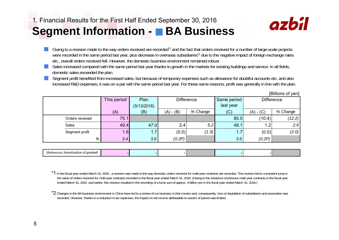

[Billions of yen]

- Owing to a revision made to the way orders received are recorded<sup>\*1</sup> and the fact that orders received for a number of large-scale projects were recorded in the same period last year, plus decrease in overseas subsidiaries<sup>2</sup> due to the negative impact of foreign exchange rates etc., overall orders received fell. However, the domestic business environment remained robust.
- Sales increased compared with the same period last year thanks to growth in the markets for existing buildings and service. In all fields, domestic sales exceeded the plan.
- ■ Segment profit benefited from increased sales, but because of temporary expenses such as allowance for doubtful accounts etc. and also increased R&D expenses, it was on a par with the same period last year. For these same reasons, profit was generally in line with the plan.

| וויסע וט פווטוווען |             |             |             |                                  |           |                   |          |  |  |
|--------------------|-------------|-------------|-------------|----------------------------------|-----------|-------------------|----------|--|--|
|                    | This period | Plan        |             | <b>Difference</b><br>Same period |           | <b>Difference</b> |          |  |  |
|                    |             | (5/13/2016) |             |                                  | last year |                   |          |  |  |
|                    | (A)         | (B)         | $(A) - (B)$ | % Change                         | (C)       | $(A) - (C)$       | % Change |  |  |
| Orders received    | 75.1        |             |             |                                  | 85.5      | (10.4)            | (12.2)   |  |  |
| <b>Sales</b>       | 49.4        | 47.0        | 2.4         | 5.2                              | 48.1      | 1.2               | 2.6      |  |  |
| Segment profit     | .6          | 1.7         | (0.0)       | (1.3)                            | 1.7       | (0.0)             | (2.0)    |  |  |
| %                  | 3.4         | 3.6         | (0.2P)      |                                  | 3.6       | (0.2P)            |          |  |  |

| . aoogmi<br>ntion<br>auvu |  |  |  |  |
|---------------------------|--|--|--|--|
|                           |  |  |  |  |

\*1 In the fiscal year ended March 31, 2016, a revision was made to the way domestic orders received for multi-year contracts are recorded. This revision led to a transient jump in the value of orders received for multi-year contracts recorded in the fiscal year ended March 31, 2016. (Owing to the existence of previous multi-year contracts in the fiscal year ended March 31, 2015 and earlier, this revision resulted in the recording of a lump sum of approx. 4 billion yen in the fiscal year ended March 31, 2016.)

\*2 Changes in the BA business environment in China have led to a review of our business in that country and, consequently, loss on liquidation of subsidiaries and associates was recorded. However, thanks to a reduction in tax expenses, the impact on net income attributable to owners of parent was limited.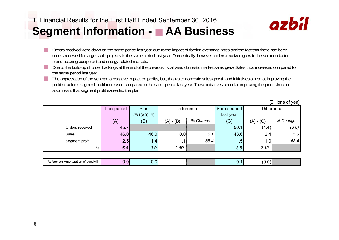## 1. Financial Results for the First Half Ended September 30, 2016 **Segment Information -** ■ **AA Business**



- Orders received were down on the same period last year due to the impact of foreign exchange rates and the fact that there had been orders received for large-scale projects in the same period last year. Domestically, however, orders received grew in the semiconductor manufacturing equipment and energy-related markets.
- Due to the build-up of order backlogs at the end of the previous fiscal year, domestic market sales grew. Sales thus increased compared to the same period last year.

■ The appreciation of the yen had a negative impact on profits, but, thanks to domestic sales growth and initiatives aimed at improving the profit structure, segment profit increased compared to the same period last year. These initiatives aimed at improving the profit structure also meant that segment profit exceeded the plan.

|                 | This period | Plan        | <b>Difference</b> |          | Same period             | <b>Difference</b> |          |
|-----------------|-------------|-------------|-------------------|----------|-------------------------|-------------------|----------|
|                 |             | (5/13/2016) |                   |          | last year               |                   |          |
|                 | (A)         | (B)         | $(A) - (B)$       | % Change | (C)                     | $(A) - (C)$       | % Change |
| Orders received | 45.7        |             |                   |          | 50.1                    | (4.4)             | (8.8)    |
| Sales           | 46.0        | 46.0        | 0.0               | 0.1      | 43.6                    | 2.4               | 5.5      |
| Segment profit  | 2.5         | 1.4         | 1.1               | 85.4     | $1.5$ <sup>1</sup><br>4 | 1.0               | 68.4     |
| %               | 5.6         | 3.0         | 2.6P              |          | 3.5                     | 2.1P              |          |
|                 |             |             |                   |          |                         |                   |          |
|                 |             |             |                   |          |                         |                   |          |

|  | Amc<br>aoodwill<br>ortization<br><br>--<br>.<br>. | $\sim$ . $\sim$ |  |  |  |  |  |  |
|--|---------------------------------------------------|-----------------|--|--|--|--|--|--|
|--|---------------------------------------------------|-----------------|--|--|--|--|--|--|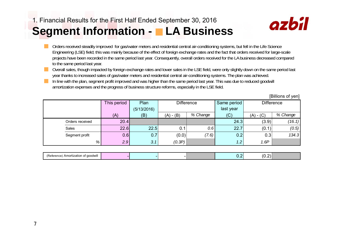## 1. Financial Results for the First Half Ended September 30, 2016 **Segment Information -** ■ **LA Business**



 Orders received steadily improved for gas/water meters and residential central air-conditioning systems, but fell in the Life Science Engineering (LSE) field; this was mainly because of the effect of foreign exchange rates and the fact that orders received for large-scale projects have been recorded in the same period last year. Consequently, overall orders received for the LA business decreased compared to the same period last year.

■ Overall sales, though impacted by foreign exchange rates and lower sales in the LSE field, were only slightly down on the same period last year thanks to increased sales of gas/water meters and residential central air-conditioning systems. The plan was achieved.

■ In line with the plan, segment profit improved and was higher than the same period last year. This was due to reduced goodwill amortization expenses and the progress of business structure reforms, especially in the LSE field.

|                 | This period | Plan        | <b>Difference</b>       |       | Same period | <b>Difference</b> |          |
|-----------------|-------------|-------------|-------------------------|-------|-------------|-------------------|----------|
|                 |             | (5/13/2016) |                         |       | last year   |                   |          |
|                 | (A)         | (B)         | % Change<br>$(A) - (B)$ |       | (C)         | $(A) - (C)$       | % Change |
| Orders received | 20.4        |             |                         |       | 24.3        | (3.9)             | (16.1)   |
| Sales           | 22.6        | 22.5        | 0.1                     | 0.6   | 22.7        | (0.1)             | (0.5)    |
| Segment profit  | 0.6         | 0.7         | (0.0)                   | (7.6) | 0.2         | 0.3               | 134.3    |
| %               | 2.9         | 3.1         | (0.3P)                  |       | 1.2         | 1.6P              |          |

| (Refe<br>, Amortization<br>i qoodwill<br>rence.<br>.<br>$\cdot$ |  |  | . | - |  |
|-----------------------------------------------------------------|--|--|---|---|--|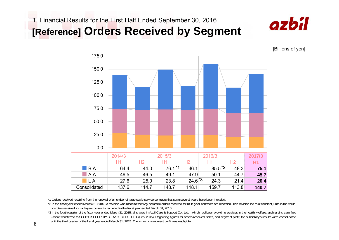1. Financial Results for the First Half Ended September 30, 2016 **[Reference] Orders Received by Segment**



[Billions of yen]



\*1 Orders received resulting from the renewal of a number of large-scale service contracts that span several years have been included.

\*2 In the fiscal year ended March 31, 2016 , a revision was made to the way domestic orders received for multi-year contracts are recorded. This revision led to a transient jump in the value of orders received for multi-year contracts recorded in the fiscal year ended March 31, 2016.

\*3 In the fourth quarter of the fiscal year ended March 31, 2015, all shares in Azbil Care & Support Co., Ltd. – which had been providing services in the health, welfare, and nursing care field – were transferred to SOHGO SECURITIY SERVICES CO.,. LTD. (Feb. 2015). Regarding figures for orders received, sales, and segment profit, the subsidiary's results were consolidated

until the third quarter of the fiscal year ended March 31, 2015. The impact on segment profit was negligible.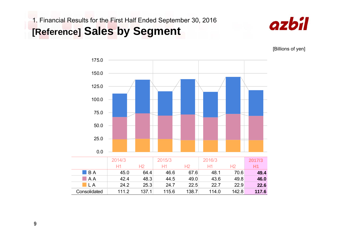1. Financial Results for the First Half Ended September 30, 2016 **[Reference] Sales by Segment**



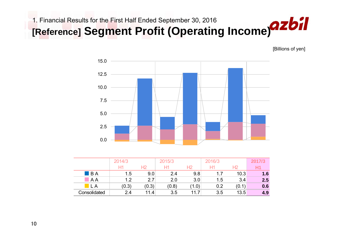1. Financial Results for the First Half Ended September 30, 2016 **[Reference] Segment Profit (Operating Income)**



|                    | 2014/3                |       | 2015/3 |                | 2016/3 |       | 2017/3 |
|--------------------|-----------------------|-------|--------|----------------|--------|-------|--------|
|                    | $\mathsf{H}^{\prime}$ |       |        | H <sub>2</sub> |        |       | H1     |
| $\blacksquare$ B A | 1.5                   | 9.0   | 2.4    | 9.8            | 1.7    | 10.3  | 1.6    |
| A                  | 1.2                   | 2.7   | 2.0    | 3.0            | 1.5    | 3.4   | 2.5    |
| . A                | (0.3)                 | (0.3) | (0.8)  | (1.0)          | 0.2    | (0.1) | 0.6    |
| Consolidated       | 2.4                   | 11.4  | 3.5    | 11.7           | 3.5    | 13.5  | 4.9    |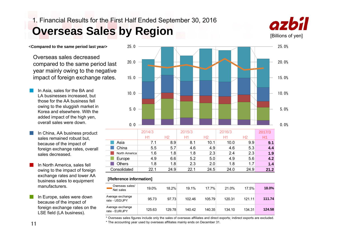## 1. Financial Results for the First Half Ended September 30, 2016 **Overseas Sales by Region**



<sup>&</sup>lt;**Compared to the same period last year>**

Overseas sales decreased compared to the same period last year mainly owing to the negative impact of foreign exchange rates.

- ■ In Asia, sales for the BA and LA businesses increased, but those for the AA business fell owing to the sluggish market in Korea and elsewhere. With the added impact of the high yen, overall sales were down.
- ■ In China, AA business product sales remained robust but, because of the impact of foreign exchange rates, overall sales decreased.
- ■ In North America, sales fell owing to the impact of foreign exchange rates and lower AA business sales to equipment manufacturers.
- ■ In Europe, sales were down because of the impact of foreign exchange rates on the LSE field (LA business).



|               | 2014/3 |      | 2015/3 |      | 2016/3 |      | 2017/3 |
|---------------|--------|------|--------|------|--------|------|--------|
|               | H1     | Н2   | Η1     | Н2   | Η1     | Н2   | Η1     |
| Asia          | 7.1    | 8.9  | 8.1    | 10.1 | 10.0   | 9.9  | 9.1    |
| China         | 5.5    | 5.7  | 4.6    | 4.9  | 4.6    | 5.3  | 4.4    |
| North America | 1.6    | 1.8  | 1.8    | 2.3  | 2.4    | 2.3  | 1.9    |
| Europe        | 4.9    | 6.6  | 5.2    | 5.0  | 4.9    | 5.6  | 4.2    |
| Others        | 1.8    | 1.8  | 2.3    | 2.0  | 1.8    | 1.7  | 1.4    |
| Consolidated  | 22 1   | 24.9 | 22.1   | 24.5 | 24.0   | 24.9 | 21.2   |

#### **[Reference information]**

| Overseas sales/<br>Net sales       | 19.0%  | 18.2%  | 19.1%  | 17.7%  | 21.0%  | 17.5%  | $18.0\%$ |
|------------------------------------|--------|--------|--------|--------|--------|--------|----------|
| Average exchange<br>rate - USD/JPY | 95.73  | 97.73  | 102.46 | 105.79 | 120.31 | 121.11 | 111.74   |
| Average exchange<br>rate - EUR/JPY | 125.63 | 129.78 | 140.42 | 140.35 | 134.10 | 134.31 | 124.58   |

\* Overseas sales figures include only the sales of overseas affiliates and direct exports; indirect exports are excluded. \* The accounting year used by overseas affiliates mainly ends on December 31.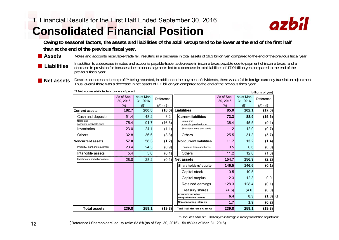# **Consolidated Financial Position**



[Billions of yen]

**Owing to seasonal factors, the assets and liabilities of the azbil Group tend to be lower at the end of the first half than at the end of the previous fiscal year.**

■ **Assets** Notes and accounts receivable-trade fell, resulting in a decrease in total assets of 19.3 billion yen compared to the end of the previous fiscal year.

■ **Liabilities**

In addition to a decrease in notes and accounts payable-trade, a decrease in income taxes payable due to payment of income taxes, and a decrease in provision for bonuses due to bonus payments led to a decrease in total liabilities of 17.0 billion yen compared to the end of the previous fiscal year.

**Net assets** Despite an increase due to profit<sup>\*1</sup> being recorded, in addition to the payment of dividends, there was a fall in foreign currency translation adjustment. Thus, overall there was a decrease in net assets of 2.2 billion yen compared to the end of the previous fiscal year.

|                                        |                        |                        |                   |                                                  |                        |                        | ן וושט ווא טוווכן |  |
|----------------------------------------|------------------------|------------------------|-------------------|--------------------------------------------------|------------------------|------------------------|-------------------|--|
|                                        | As of Sep.<br>30, 2016 | As of Mar.<br>31, 2016 | <b>Difference</b> |                                                  | As of Sep.<br>30, 2016 | As of Mar.<br>31, 2016 | <b>Difference</b> |  |
|                                        | (A)                    | (B)                    | $(A) - (B)$       |                                                  | (A)                    | (B)                    | $(A) - (B)$       |  |
| Current assets                         | 182.7                  | 200.8                  |                   | (18.0)   Liabilities                             | 85.0                   | 102.1                  | (17.0)            |  |
| Cash and deposits                      | 51.4                   | 48.2                   | 3.2               | <b>Current liabilities</b>                       | 73.3                   | 88.9                   | (15.6)            |  |
| Notes and<br>accounts receivable-trade | 75.4                   | 91.7                   | (16.3)            | Notes and<br>accounts payable-trade              | 36.4                   | 45.5                   | (9.1)             |  |
| Inventories                            | 23.0                   | 24.1                   | (1.1)             | Short-term loans and bonds                       | 11.2                   | 12.0                   | (0.7)             |  |
| Others                                 | 32.8                   | 36.6                   | (3.8)             | Others                                           | 25.5                   | 31.3                   | (5.7)             |  |
| Noncurrent assets                      | 57.0                   | 58.3                   | (1.2)             | <b>Noncurrent liabilities</b>                    | 11.7                   | 13.2                   | (1.4)             |  |
| Property, plant and equipment          | 23.4                   | 24.3                   | (0.9)             | Long-term loans and bonds                        | 0.5                    | 0.6                    | (0.0)             |  |
| Intangible assets                      | 5.4                    | 5.6                    | (0.1)             | <b>Others</b>                                    | 11.2                   | 12.6                   | (1.3)             |  |
| Investments and other assets           | 28.0                   | 28.2                   |                   | $(0.1)$ Net assets                               | 154.7                  | 156.9                  | (2.2)             |  |
|                                        |                        |                        |                   | <b>Shareholders' equity</b>                      | 146.5                  | 146.6                  | (0.1)             |  |
|                                        |                        |                        |                   | Capital stock                                    | 10.5                   | 10.5                   |                   |  |
|                                        |                        |                        |                   | Capital surplus                                  | 12.3                   | 12.3                   | 0.0               |  |
|                                        |                        |                        |                   | Retained earnings                                | 128.3                  | 128.4                  | (0.1)             |  |
|                                        |                        |                        |                   | Treasury shares                                  | (4.6)                  | (4.6)                  | (0.0)             |  |
|                                        |                        |                        |                   | <b>Accumulated other</b><br>comprehensive income | 6.4                    | 8.3                    | $(1.8)$ $^*2$     |  |
|                                        |                        |                        |                   | Non-controlling interests                        | 1.7                    | 1.9                    | (0.2)             |  |
| <b>Total assets</b>                    | 239.8                  | 259.1                  | (19.3)            | <b>Total liabilities and net assets</b>          | 239.8                  | 259.1                  | (19.3)            |  |

\*1 Net income attributable to owners of parent.

\*2 Includes a fall of 1.9 billion yen in foreign currency translation adjustment.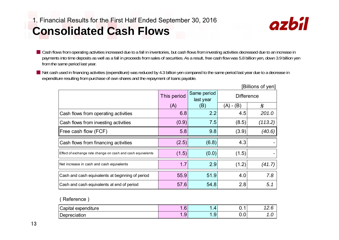## 1. Financial Results for the First Half Ended September 30, 2016 **Consolidated Cash Flows**



■ Cash flows from operating activities increased due to a fall in inventories, but cash flows from investing activities decreased due to an increase in payments into time deposits as well as a fall in proceeds from sales of securities. As a result, free cash flow was 5.8 billion yen, down 3.9 billion yen from the same period last year.

■ Net cash used in financing activities (expenditure) was reduced by 4.3 billion yen compared to the same period last year due to a decrease in expenditure resulting from purchase of own shares and the repayment of loans payable.

|                                                             |             |                          |           | [Billions of yen] |  |
|-------------------------------------------------------------|-------------|--------------------------|-----------|-------------------|--|
|                                                             | This period | Same period<br>last year |           | <b>Difference</b> |  |
|                                                             | (A)         | (B)                      | (A) - (B) | %                 |  |
| Cash flows from operating activities                        | 6.8         | 2.2                      | 4.5       | 201.0             |  |
| Cash flows from investing activities                        | (0.9)       | 7.5                      | (8.5)     | (113.2)           |  |
| Free cash flow (FCF)                                        | 5.8         | 9.8                      | (3.9)     | (40.6)            |  |
| Cash flows from financing activities                        | (2.5)       | (6.8)                    | 4.3       |                   |  |
| Effect of exchange rate change on cash and cash equivalents | (1.5)       | (0.0)                    | (1.5)     |                   |  |
| Net increase in cash and cash equivalents                   | 1.7         | 2.9                      | (1.2)     | (41.7)            |  |
| Cash and cash equivalents at beginning of period            | 55.9        | 51.9                     | 4.0       | 7.8               |  |
| Cash and cash equivalents at end of period                  | 57.6        | 54.8                     | 2.8       | 5.1               |  |

#### ( Reference )

| $\cap$<br>.<br>Capital<br>expenditure | $\epsilon$<br>$\cdot$ $\cdot$ | . .        | ν.  | $\overline{\phantom{a}}$<br><u>.</u> |
|---------------------------------------|-------------------------------|------------|-----|--------------------------------------|
| חו<br>.<br> Depreciation              | -<br>. .                      | <u>. v</u> | v.v | $\cdot$ . $\cdot$                    |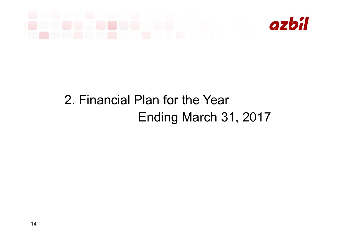# azbíl

# 2. Financial Plan for the Year Ending March 31, 2017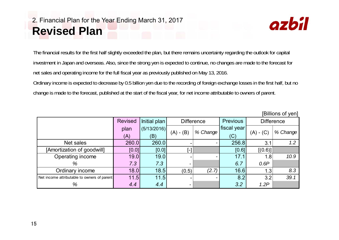## 2. Financial Plan for the Year Ending March 31, 2017 **Revised Plan**



The financial results for the first half slightly exceeded the plan, but there remains uncertainty regarding the outlook for capital investment in Japan and overseas. Also, since the strong yen is expected to continue, no changes are made to the forecast for net sales and operating income for the full fiscal year as previously published on May 13, 2016.

Ordinary income is expected to decrease by 0.5 billion yen due to the recording of foreign exchange losses in the first half, but no change is made to the forecast, published at the start of the fiscal year, for net income attributable to owners of parent.

|                                             |                |              |                          |          |                 |             | [Billions of yen] |                   |
|---------------------------------------------|----------------|--------------|--------------------------|----------|-----------------|-------------|-------------------|-------------------|
|                                             | <b>Revised</b> | Initial plan | <b>Difference</b>        |          | <b>Previous</b> |             |                   | <b>Difference</b> |
|                                             | plan           | (5/13/2016)  |                          | % Change | fiscal year     |             | % Change          |                   |
|                                             | (A)            | (B)          | $(A) - (B)$              |          | (C)             | $(A) - (C)$ |                   |                   |
| Net sales                                   | 260.0          | 260.0        |                          |          | 256.8           | 3.1         | 1.2               |                   |
| [Amortization of goodwill]                  | [0.0]          | [0.0]        | $\left[ \cdot \right]$ , |          | [0.6]           | [(0.6)]     |                   |                   |
| Operating income                            | 19.0           | 19.0         |                          |          | 17.1            | 1.8         | 10.9              |                   |
| %                                           | 7.3            | 7.3          |                          |          | 6.7             | 0.6P        |                   |                   |
| Ordinary income                             | 18.0           | 18.5         | (0.5)                    | (2.7)    | 16.6            | 1.3         | 8.3               |                   |
| Net income attributable to owners of parent | 11.5           | 11.5         |                          |          | 8.2             | 3.2         | 39.1              |                   |
| %                                           | 4.4            | 4.4          |                          |          | 3.2             | 1.2P        |                   |                   |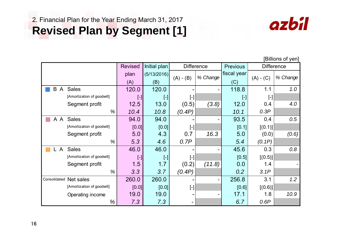## 2. Financial Plan for the Year Ending March 31, 2017 **Revised Plan by Segment [1]**



d | Initial plan | Difference | Previous | Difference plan (5/13/2016)  $(A)$   $(B)$   $\left| \begin{array}{c} \cdot & \cdot & \cdot \\ \cdot & \cdot & \cdot \\ \cdot & \cdot & \cdot \end{array} \right|$   $(C)$ ■ B A Sales | 120.0 | 120.0 | -| -| 118.8 | 1.1 | *1.0* [Amortization of goodwill]  $\begin{bmatrix} - \end{bmatrix}$  [-]  $\begin{bmatrix} -1 \end{bmatrix}$  [-]  $\begin{bmatrix} -1 \end{bmatrix}$  [-] Segment profit 12.5 13.0 (0.5) *(3.8)* 12.0 0.4 *4.0 % 10.4 10.8 (0.4P) 10.1 0.3P* A A Sales 1 94.0 94.0 - **- 93.5 0.4** 0.5 [Amortization of goodwill]  $[0.0]$   $[0.0]$   $[-]$   $[-]$   $[0.1]$   $[0.1]$   $[0.1)$ ] Segment profit 5.0 4.3 0.7 *16.3* 5.0 (0.0) *(0.6) % 5.3 4.6 0.7P 5.4 (0.1P)* ■ L A Sales 46.0 46.0 - *-* 45.6 0.3 *0.8* [Amortization of goodwill]  $\begin{bmatrix} -1 \\ -1 \end{bmatrix}$  [-]  $\begin{bmatrix} -1 \\ -1 \end{bmatrix}$  [0.5] [(0.5)] Segment profit 1.5 1.7 (0.2) *(11.8)* 0.0 1.4 *- % 3.3 3.7 (0.4P) 0.2 3.1P* Consolidated Net sales 260.0 260.0 - *-* 256.8 3.1 *1.2* [Amortization of goodwill]  $[0.0]$   $[0.0]$   $[-]$   $[-]$   $[0.6]$   $[0.6]$ Operating income 19.0 19.0 - *-* 17.1 1.8 *10.9 % 7.3 7.3 - 6.7 0.6P* Revisedfiscal year (A) - (B) *% Change* (A) - (C) *% Change*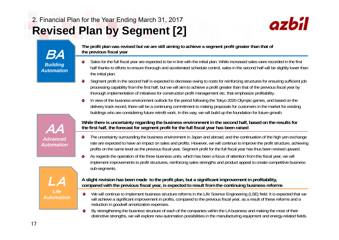## 2. Financial Plan for the Year Ending March 31, 2017 **Revised Plan by Segment [2]**



BA*Building Automation* **The profit plan was revised but we are still aiming to achieve a segment profit greater than that of the previous fiscal year**

- Sales for the full fiscal year are expected to be in line with the initial plan. While increased sales were recorded in the first ۰ half thanks to efforts to ensure thorough and accelerated schedule control, sales in the second half will be slightly lower than the initial plan.
- Segment profit in the second half is expected to decrease owing to costs for reinforcing structures for ensuring sufficient job ۰ processing capability from the first half, but we will aim to achieve a profit greater than that of the previous fiscal year by thorough implementation of initiatives for construction profit management etc. that emphasize profitability.
- In view of the business environment outlook for the period following the Tokyo 2020 Olympic games, and based on the delivery track record, there will be a continuing commitment to making proposals for customers in the market for existing buildings who are considering future retrofit work. In this way, we will build up the foundation for future growth.

**While there is uncertainty regarding the business environment in the second half, based on the results for the first half, the forecast for segment profit for the full fiscal year has been raised**

- The uncertainty surrounding the business environment in Japan and abroad, and the continuation of the high yen exchange ۰ rate are expected to have an impact on sales and profits. However, we will continue to improve the profit structure, achieving profits on the same level as the previous fiscal year. Segment profit for the full fiscal year has thus been revised upward.
- As regards the operation of the three business units, which has been a focus of attention from this fiscal year, we will ۰ implement improvements to profit structures, reinforcing sales strengths and product appeal to create competitive business sub-segments.

*L*A*Life Automation*

AA

*Advanced Automation*

#### **A slight revision has been made to the profit plan, but a significant improvement in profitability, compared with the previous fiscal year, is expected to result from the continuing business reforms**

- We will continue to implement business structure reforms in the Life Science Engineering (LSE) field. It is expected that we ۰ will achieve a significant improvement in profits, compared to the previous fiscal year, as a result of these reforms and a reduction in goodwill amortization expenses.
- By strengthening the business structure of each of the companies within the LA business and making the most of their ۰ distinctive strengths, we will explore new automation possibilities in the manufacturing equipment and energy-related fields.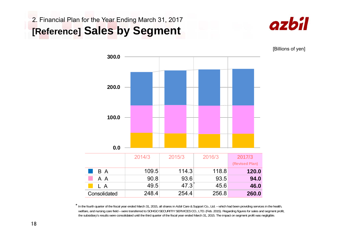## 2. Financial Plan for the Year Ending March 31, 2017 **[Reference] Sales by Segment**



[Billions of yen]



\*In the fourth quarter of the fiscal year ended March 31, 2015, all shares in Azbil Care & Support Co., Ltd. – which had been providing services in the health, welfare, and nursing care field – were transferred to SOHGO SECURITIY SERVICES CO., LTD. (Feb. 2015). Regarding figures for sales and segment profit, the subsidiary's results were consolidated until the third quarter of the fiscal year ended March 31, 2015. The impact on segment profit was negligible.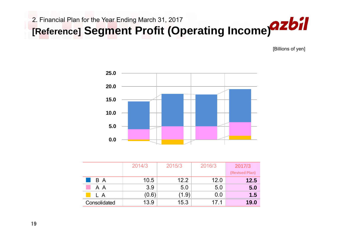



|              | 2014/3 | 2015/3 | 2016/3 | 2017/3<br>(Revised Plan) |
|--------------|--------|--------|--------|--------------------------|
| B A          | 10.5   | 12.2   | 12.0   | 12.5                     |
| A A          | 3.9    | 5.0    | 5.0    | 5.0                      |
| L A          | (0.6)  | (1.9)  | 0.0    | 1.5                      |
| Consolidated | 13.9   | 15.3   | 17.1   | 19.0                     |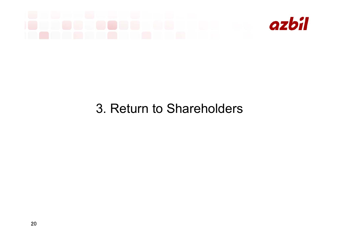# azbíl

# 3. Return to Shareholders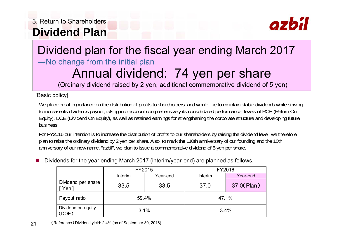

## Annual dividend: 74 yen per share Dividend plan for the fiscal year ending March 2017  $\rightarrow$ No change from the initial plan

(Ordinary dividend raised by 2 yen, additional commemorative dividend of 5 yen)

### [Basic policy]

We place great importance on the distribution of profits to shareholders, and would like to maintain stable dividends while striving to increase its dividends payout, taking into account comprehensively its consolidated performance, levels of ROE (Return On Equity), DOE (Dividend On Equity), as well as retained earnings for strengthening the corporate structure and developing future business.

For FY2016 our intention is to increase the distribution of profits to our shareholders by raising the dividend level; we therefore plan to raise the ordinary dividend by 2 yen per share. Also, to mark the 110th anniversary of our founding and the 10th anniversary of our new name, "azbil", we plan to issue a commemorative dividend of 5 yen per share.

П Dividends for the year ending March 2017 (interim/year-end) are planned as follows.

|                                |                            | FY2015 | FY2016         |             |  |
|--------------------------------|----------------------------|--------|----------------|-------------|--|
|                                | <b>Interim</b><br>Year-end |        | <b>Interim</b> | Year-end    |  |
| Dividend per share<br>$[$ Yen] | 33.5                       | 33.5   | 37.0           | 37.0 (Plan) |  |
| Payout ratio                   | 59.4%                      |        | 47.1%          |             |  |
| Dividend on equity<br>(DOE)    | 3.1%                       |        | 3.4%           |             |  |

21(Reference) Dividend yield: 2.4% (as of September 30, 2016)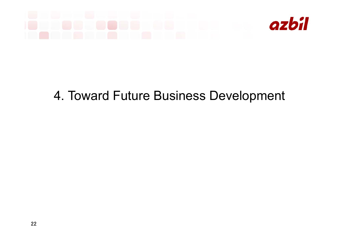# azbíl

# 4. Toward Future Business Development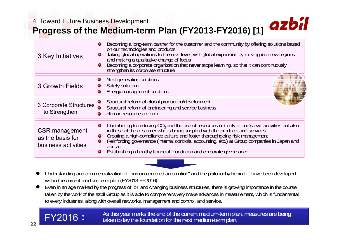### 4. Toward Future Business Development

## **Progress of the Medium-term Plan (FY2013-FY2016) [1]**

| 3 Key Initiatives                                                | Becoming a long-term partner for the customer and the community by offering solutions based<br>۰<br>on our technologies and products<br>Taking global operations to the next level, with global expansion by moving into new regions<br>and making a qualitative change of focus<br>Becoming a corporate organization that never stops learning, so that it can continuously<br>۰<br>strengthen its corporate structure                                         |
|------------------------------------------------------------------|-----------------------------------------------------------------------------------------------------------------------------------------------------------------------------------------------------------------------------------------------------------------------------------------------------------------------------------------------------------------------------------------------------------------------------------------------------------------|
| 3 Growth Fields                                                  | Next-generation solutions<br>۰<br>Safety solutions<br>۰<br>Energy management solutions<br>۰                                                                                                                                                                                                                                                                                                                                                                     |
| 3 Corporate Structures<br>to Strengthen                          | Structural reform of global production/development<br>Structural reform of engineering and service business<br>Human resources reform                                                                                                                                                                                                                                                                                                                           |
| <b>CSR</b> management<br>as the basis for<br>business activities | Contributing to reducing $CO2$ and the use of resources not only in one's own activities but also in those of the customer who is being supplied with the products and services<br>۰<br>Creating a high-compliance culture and foster thoroughgoing risk management<br>Reinforcing governance (internal controls, accounting, etc.) at Group companies in Japan and<br>۰<br>abroad<br>Establishing a healthy financial foundation and corporate governance<br>۰ |

- $\bullet$  Understanding and commercialization of "human-centered automation" and the philosophy behind it have been developed within the current medium-term plan (FY2013-FY2016).
- $\bullet$  Even in an age marked by the progress of IoT and changing business structures, there is growing importance in the course taken by the work of the azbil Group as it is able to comprehensively make advances in measurement, which is fundamental to every industries, along with overall networks, management and control, and service.

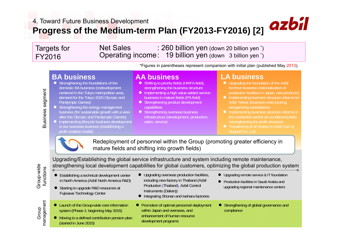## 4. Toward Future Business Development



**Progress of the Medium-term Plan (FY2013-FY2016) [2]**

Net Sales : 260 billion yen (down 20 billion yen \* ) Operating income: 19 billion yen (down 3 billion yen \* ) Targets for FY2016

\*Figures in parentheses represent comparison with initial plan (published May 2013).

### **BA business**

- Strengthening the foundations of the domestic BA business (redevelopment centered in the Tokyo metropolitan area, demand for the Tokyo 2020 Olympic and Paralympic Games)
- Strengthening the energy management business (for sustainable growth with a view after the Olympic and Paralympic Games)
- **•** Implementing lifecycle business development in our overseas business (establishing a profit creation model)

- Shifting to priority fields (HA/FA field), strengthening the business structure
- Implementing a high value-added service business in mature fields (PA field)
- Strengthening product development capabilities
- Strengthening overseas business infrastructure (development, production, sales, service)

### **AA business LA business**

- Upgrading the foundation of the Azbil Kimmon business (rationalization of production facilities in Japan, new products)
- **•** Implementing business structure reforms for Azbil Telstar (business restructuring,
- (strengthening the profit structure)
- Support Co., Ltd.



Redeployment of personnel within the Group (promoting greater efficiency in mature fields and shifting into growth fields)

Upgrading/Establishing the global service infrastructure and system including remote maintenance, strengthening local development capabilities for global customers, optimizing the global production system

- Group-wide<br>functions • Upgrading overseas production facilities, • Upgrading remote service & IT foundation ● Establishing a technical development center including new factory in Thailand (Azbil in North America (Azbil North America R&D) ● Production facilities in Saudi Arabia and Production (Thailand), Azbil Control upgrading regional maintenance centers ● Starting to upgrade R&D resources at Instruments (Dalian)) Fujisawa Technology Center  $\bullet$  Integrating Shonan and Isehara factories management ● Launch of the Group-wide core information **•** Promotion of optimal personnel deployment ● Strengthening of global governance and
	- system (Phase 1: beginning May 2015) • Moving to a defined contribution pension plan (started in June 2015)
- within Japan and overseas, and enhancement of human resource development programs
- compliance

Business segment Business segment

Group-wide functions

Group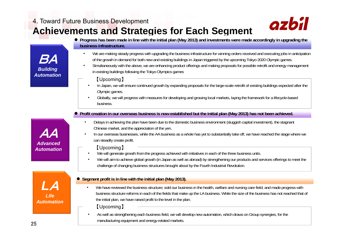## 4. Toward Future Business Development

# **Achievements and Strategies for Each Segment**



- 0 **Progress has been made in line with the initial plan (May 2013) and investments were made accordingly in upgrading the business infrastructure.**
	- •We are making steady progress with upgrading the business infrastructure for winning orders received and executing jobs in anticipation of the growth in demand for both new and existing buildings in Japan triggered by the upcoming Tokyo 2020 Olympic games.
	- •Simultaneously with the above, we are enhancing product offerings and making proposals for possible retrofit and energy management in existing buildings following the Tokyo Olympics games
		- 【Upcoming】
		- • In Japan, we will ensure continued growth by expanding proposals for the large-scale retrofit of existing buildings expected after the Olympic games.
		- • Globally, we will progress with measures for developing and growing local markets, laying the framework for a lifecycle-based business.
- $\bullet$  **Profit creation in our overseas business is now established but the initial plan (May 2013) has not been achieved.**
	- Delays in achieving the plan have been due to the domestic business environment (sluggish capital investment), the stagnant Chinese market, and the appreciation of the yen.
	- In our overseas businesses, while the AA business as a whole has yet to substantially take off, we have reached the stage where we can steadily create profit.

#### 【Upcoming】

- •We will generate growth from the progress achieved with initiatives in each of the three business units.
- •We will aim to achieve global growth (in Japan as well as abroad) by strengthening our products and services offerings to meet the challenge of changing business structures brought about by the Fourth Industrial Revolution.

#### $\bullet$ **Segment profit is in line with the initial plan (May 2013).**

•We have reviewed the business structure; sold our business in the health, welfare and nursing care field; and made progress with business structure reforms in each of the fields that make up the LA business. While the size of the business has not reached that of the initial plan, we have raised profit to the level in the plan.

#### 【Upcoming】

• As well as strengthening each business field, we will develop new automation, which draws on Group synergies, for the manufacturing equipment and energy-related markets.

AA

*Advanced Automation*

*L*A

*Life Automation*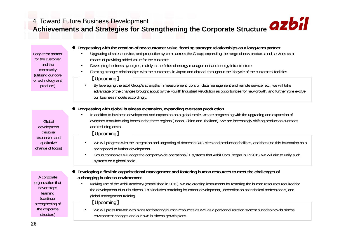## 4. Toward Future Business Development **Achievements and Strategies for Strengthening the Corporate Structure**

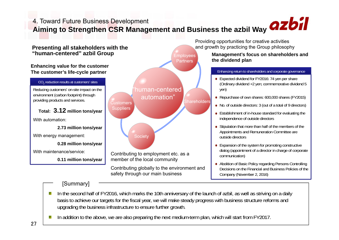## 4. Toward Future Business Development **Aiming to Strengthen CSR Management and Business the azbil Way**



### [Summary]

- In the second half of FY2016, which marks the 10th anniversary of the launch of azbil, as well as striving on a daily basis to achieve our targets for the fiscal year, we will make steady progress with business structure reforms and upgrading the business infrastructure to ensure further growth.
- In addition to the above, we are also preparing the next medium-term plan, which will start from FY2017.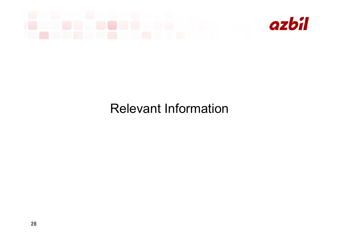# azbíl

# Relevant Information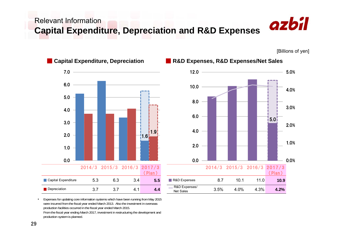Relevant Information

**Capital Expenditure, Depreciation and R&D Expenses**



[Billions of yen]



**Capital Expenditure, Depreciation** 

## **Capital Expenses, R&D Expenses/Net Sales**



• Expenses for updating core information systems which have been running from May 2015 were incurred from the fiscal year ended March 2013. Also the investment in overseas production facilities occurred in the fiscal year ended March 2015. From the fiscal year ending March 2017, investment in restructuring the development and production system is planned.